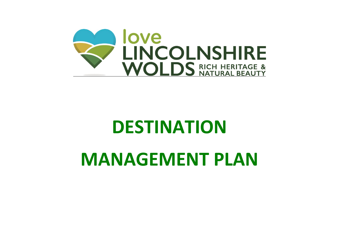

# **DESTINATION**

# **MANAGEMENT PLAN**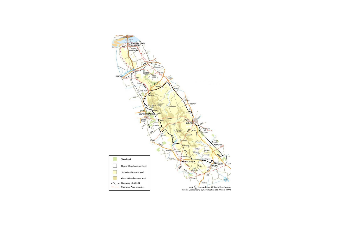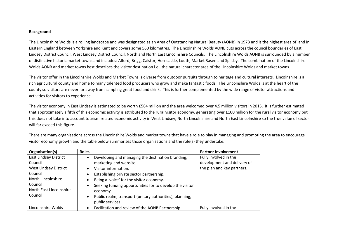#### **Background**

The Lincolnshire Wolds is a rolling landscape and was designated as an Area of Outstanding Natural Beauty (AONB) in 1973 and is the highest area of land in Eastern England between Yorkshire and Kent and covers some 560 kilometres. The Lincolnshire Wolds AONB cuts across the council boundaries of East Lindsey District Council, West Lindsey District Council, North and North East Lincolnshire Councils. The Lincolnshire Wolds AONB is surrounded by a number of distinctive historic market towns and includes: Alford, Brigg, Caistor, Horncastle, Louth, Market Rasen and Spilsby. The combination of the Lincolnshire Wolds AONB and market towns best describes the visitor destination i.e., the natural character area of the Lincolnshire Wolds and market towns.

The visitor offer in the Lincolnshire Wolds and Market Towns is diverse from outdoor pursuits through to heritage and cultural interests. Lincolnshire is a rich agricultural county and home to many talented food producers who grow and make fantastic foods. The Lincolnshire Wolds is at the heart of the county so visitors are never far away from sampling great food and drink. This is further complemented by the wide range of visitor attractions and activities for visitors to experience.

The visitor economy in East Lindsey is estimated to be worth £584 million and the area welcomed over 4.5 million visitors in 2015. It is further estimated that approximately a fifth of this economic activity is attributed to the rural visitor economy, generating over £100 million for the rural visitor economy but this does not take into account tourism related economic activity in West Lindsey, North Lincolnshire and North East Lincolnshire so the true value of sector will far exceed this figure.

| Organisation(s)                                                                                                                                           | <b>Roles</b>                                                                                                                                                                                                                                                                                                                                        | <b>Partner Involvement</b>                                                         |
|-----------------------------------------------------------------------------------------------------------------------------------------------------------|-----------------------------------------------------------------------------------------------------------------------------------------------------------------------------------------------------------------------------------------------------------------------------------------------------------------------------------------------------|------------------------------------------------------------------------------------|
| <b>East Lindsey District</b><br>Council<br><b>West Lindsey District</b><br>Council<br>North Lincolnshire<br>Council<br>North East Lincolnshire<br>Council | Developing and managing the destination branding,<br>marketing and website.<br>Visitor information.<br>Establishing private sector partnership.<br>Being a 'voice' for the visitor economy.<br>Seeking funding opportunities for to develop the visitor<br>economy.<br>Public realm, transport (unitary authorities), planning,<br>public services. | Fully involved in the<br>development and delivery of<br>the plan and key partners. |
| Lincolnshire Wolds                                                                                                                                        | Facilitation and review of the AONB Partnership                                                                                                                                                                                                                                                                                                     | Fully involved in the                                                              |

There are many organisations across the Lincolnshire Wolds and market towns that have a role to play in managing and promoting the area to encourage visitor economy growth and the table below summarises those organisations and the role(s) they undertake.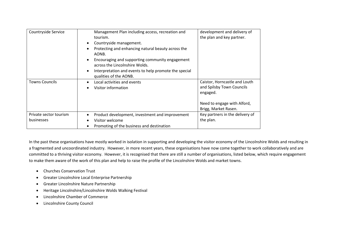| Countryside Service                  | Management Plan including access, recreation and<br>tourism.<br>Countryside management.<br>Protecting and enhancing natural beauty across the<br>AONB.<br>Encouraging and supporting community engagement<br>across the Lincolnshire Wolds.<br>Interpretation and events to help promote the special<br>qualities of the AONB. | development and delivery of<br>the plan and key partner.                                                                      |
|--------------------------------------|--------------------------------------------------------------------------------------------------------------------------------------------------------------------------------------------------------------------------------------------------------------------------------------------------------------------------------|-------------------------------------------------------------------------------------------------------------------------------|
| <b>Towns Councils</b>                | Local activities and events<br>Visitor information                                                                                                                                                                                                                                                                             | Caistor, Horncastle and Louth<br>and Spilsby Town Councils<br>engaged.<br>Need to engage with Alford,<br>Brigg, Market Rasen. |
| Private sector tourism<br>businesses | Product development, investment and improvement<br>Visitor welcome<br>Promoting of the business and destination                                                                                                                                                                                                                | Key partners in the delivery of<br>the plan.                                                                                  |

In the past these organisations have mostly worked in isolation in supporting and developing the visitor economy of the Lincolnshire Wolds and resulting in a fragmented and uncoordinated industry. However, in more recent years, these organisations have now come together to work collaboratively and are committed to a thriving visitor economy. However, it is recognised that there are still a number of organisations, listed below, which require engagement to make them aware of the work of this plan and help to raise the profile of the Lincolnshire Wolds and market towns.

- Churches Conservation Trust
- Greater Lincolnshire Local Enterprise Partnership
- Greater Lincolnshire Nature Partnership
- Heritage Lincolnshire/Lincolnshire Wolds Walking Festival
- Lincolnshire Chamber of Commerce
- Lincolnshire County Council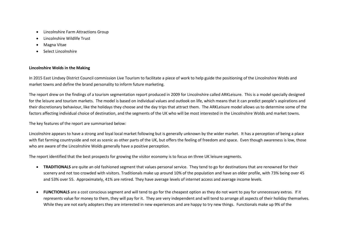- Lincolnshire Farm Attractions Group
- Lincolnshire Wildlife Trust
- Magna Vitae
- Select Lincolnshire

### **Lincolnshire Wolds in the Making**

In 2015 East Lindsey District Council commission Live Tourism to facilitate a piece of work to help guide the positioning of the Lincolnshire Wolds and market towns and define the brand personality to inform future marketing.

The report drew on the findings of a tourism segmentation report produced in 2009 for Lincolnshire called ARKLeisure. This is a model specially designed for the leisure and tourism markets. The model is based on individual values and outlook on life, which means that it can predict people's aspirations and their discretionary behaviour, like the holidays they choose and the day trips that attract them. The ARKLeisure model allows us to determine some of the factors affecting individual choice of destination, and the segments of the UK who will be most interested in the Lincolnshire Wolds and market towns.

The key features of the report are summarised below:

Lincolnshire appears to have a strong and loyal local market following but is generally unknown by the wider market. It has a perception of being a place with flat farming countryside and not as scenic as other parts of the UK, but offers the feeling of freedom and space. Even though awareness is low, those who are aware of the Lincolnshire Wolds generally have a positive perception.

The report identified that the best prospects for growing the visitor economy is to focus on three UK leisure segments.

- **TRADITIONALS** are quite an old fashioned segment that values personal service. They tend to go for destinations that are renowned for their scenery and not too crowded with visitors. Traditionals make up around 10% of the population and have an older profile, with 73% being over 45 and 53% over 55. Approximately, 41% are retired. They have average levels of internet access and average income levels.
- **FUNCTIONALS** are a cost conscious segment and will tend to go for the cheapest option as they do not want to pay for unnecessary extras. If it represents value for money to them, they will pay for it. They are very independent and will tend to arrange all aspects of their holiday themselves. While they are not early adopters they are interested in new experiences and are happy to try new things. Functionals make up 9% of the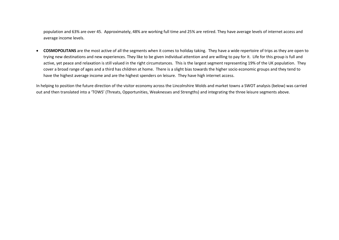population and 63% are over 45. Approximately, 48% are working full time and 25% are retired. They have average levels of internet access and average income levels.

 **COSMOPOLITANS** are the most active of all the segments when it comes to holiday taking. They have a wide repertoire of trips as they are open to trying new destinations and new experiences. They like to be given individual attention and are willing to pay for it. Life for this group is full and active, yet peace and relaxation is still valued in the right circumstances. This is the largest segment representing 19% of the UK population. They cover a broad range of ages and a third has children at home. There is a slight bias towards the higher socio economic groups and they tend to have the highest average income and are the highest spenders on leisure. They have high internet access.

In helping to position the future direction of the visitor economy across the Lincolnshire Wolds and market towns a SWOT analysis (below) was carried out and then translated into a 'TOWS' (Threats, Opportunities, Weaknesses and Strengths) and integrating the three leisure segments above.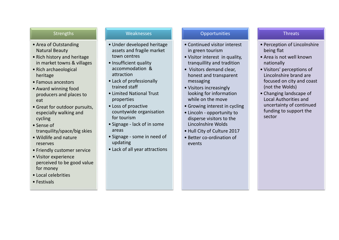## **Strengths**

- Area of Outstanding Natural Beauty
- Rich history and heritage in market towns & villages
- Rich archaeological heritage
- Famous ancestors
- Award winning food producers and places to eat
- Great for outdoor pursuits, especially walking and cycling
- Sense of tranquility/space/big skies
- Wildlife and nature reserves
- Friendly customer service
- Visitor experience perceived to be good value for money
- Local celebrities
- Festivals

## Weaknesses

- Under developed heritage assets and fragile market town centres
- Insufficient quality accommodation & attraction
- Lack of professionally trained staff
- Limited National Trust properties
- Loss of proactive countywide organisation for tourism
- Signage lack of in some areas
- Signage some in need of updating
- Lack of all year attractions

## **Opportunities**

- Continued visitor interest in green tourism
- Visitor interest in quality, tranquillity and tradition
- Visitors demand clear, honest and transparent messaging
- Visitors increasingly looking for information while on the move
- Growing interest in cycling
- Lincoln opportunity to disperse visitors to the Lincolnshire Wolds
- Hull City of Culture 2017
- Better co-ordination of events

## **Threats**

- Perception of Lincolnshire being flat
- Area is not well known nationally
- Visitors' perceptions of Lincolnshire brand are focused on city and coast (not the Wolds)
- Changing landscape of Local Authorities and uncertainty of continued funding to support the sector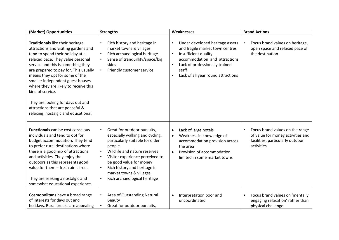| (Market) Opportunities                                                                                                                                                                                                                                                                                                                                                                                                                                                              | <b>Strengths</b>                                                                                                                                                                                                                                                                                                  | Weaknesses                                                                                                                                                                                                                                                       | <b>Brand Actions</b>                                                                                                   |
|-------------------------------------------------------------------------------------------------------------------------------------------------------------------------------------------------------------------------------------------------------------------------------------------------------------------------------------------------------------------------------------------------------------------------------------------------------------------------------------|-------------------------------------------------------------------------------------------------------------------------------------------------------------------------------------------------------------------------------------------------------------------------------------------------------------------|------------------------------------------------------------------------------------------------------------------------------------------------------------------------------------------------------------------------------------------------------------------|------------------------------------------------------------------------------------------------------------------------|
| Traditionals like their heritage<br>attractions and visiting gardens and<br>tend to spend their holiday at a<br>relaxed pace. They value personal<br>service and this is something they<br>are prepared to pay for. This usually<br>means they opt for some of the<br>smaller independent guest houses<br>where they are likely to receive this<br>kind of service.<br>They are looking for days out and<br>attractions that are peaceful &<br>relaxing, nostalgic and educational. | Rich history and heritage in<br>$\bullet$<br>market towns & villages<br>Rich archaeological heritage<br>$\bullet$<br>Sense of tranquillity/space/big<br>skies<br>Friendly customer service<br>$\bullet$                                                                                                           | Under developed heritage assets<br>$\bullet$<br>and fragile market town centres<br>Insufficient quality<br>$\bullet$<br>accommodation and attractions<br>Lack of professionally trained<br>$\bullet$<br>staff<br>Lack of all year round attractions<br>$\bullet$ | Focus brand values on heritage,<br>open space and relaxed pace of<br>the destination.                                  |
| <b>Functionals</b> can be cost conscious<br>individuals and tend to opt for<br>budget accommodation. They tend<br>to prefer rural destinations where<br>there is a good mix of attractions<br>and activities. They enjoy the<br>outdoors as this represents good<br>value for them - fresh air is free.<br>They are seeking a nostalgic and<br>somewhat educational experience.                                                                                                     | Great for outdoor pursuits,<br>especially walking and cycling,<br>particularly suitable for older<br>people<br>Wildlife and nature reserves<br>Visitor experience perceived to<br>be good value for money<br>Rich history and heritage in<br>market towns & villages<br>Rich archaeological heritage<br>$\bullet$ | Lack of large hotels<br>$\bullet$<br>Weakness in knowledge of<br>$\bullet$<br>accommodation provision across<br>the area<br>Provision of accommodation<br>$\bullet$<br>limited in some market towns                                                              | Focus brand values on the range<br>of value for money activities and<br>facilities, particularly outdoor<br>activities |
| Cosmopolitans have a broad range<br>of interests for days out and<br>holidays. Rural breaks are appealing                                                                                                                                                                                                                                                                                                                                                                           | Area of Outstanding Natural<br><b>Beauty</b><br>Great for outdoor pursuits,                                                                                                                                                                                                                                       | Interpretation poor and<br>$\bullet$<br>uncoordinated                                                                                                                                                                                                            | Focus brand values on 'mentally<br>engaging relaxation' rather than<br>physical challenge                              |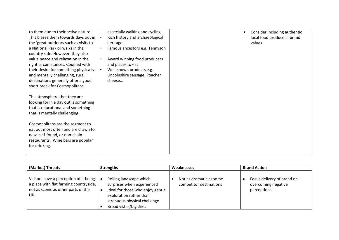| to them due to their active nature.<br>This biases them towards days out in<br>the 'great outdoors such as visits to<br>a National Park or walks in the         | especially walking and cycling<br>Rich history and archaeological<br>heritage<br>Famous ancestors e.g. Tennyson<br>$\bullet$ | Consider including authentic<br>$\bullet$<br>local food produce in brand<br>values |
|-----------------------------------------------------------------------------------------------------------------------------------------------------------------|------------------------------------------------------------------------------------------------------------------------------|------------------------------------------------------------------------------------|
| country side. However, they also<br>value peace and relaxation in the<br>right circumstances. Coupled with<br>their desire for something physically             | Award winning food producers<br>$\bullet$<br>and places to eat<br>Well known products e.g.                                   |                                                                                    |
| and mentally challenging, rural<br>destinations generally offer a good<br>short break for Cosmopolitans.                                                        | Lincolnshire sausage, Poacher<br>cheese                                                                                      |                                                                                    |
| The atmosphere that they are<br>looking for in a day out is something<br>that is educational and something<br>that is mentally challenging.                     |                                                                                                                              |                                                                                    |
| Cosmopolitans are the segment to<br>eat out most often and are drawn to<br>new, self-found, or non-chain<br>restaurants. Wine bars are popular<br>for drinking. |                                                                                                                              |                                                                                    |

| (Market) Threats                                                                                                                                     | <b>Strengths</b>                                                                                                                                                                | Weaknesses                                         | <b>Brand Action</b>                                              |
|------------------------------------------------------------------------------------------------------------------------------------------------------|---------------------------------------------------------------------------------------------------------------------------------------------------------------------------------|----------------------------------------------------|------------------------------------------------------------------|
| Visitors have a perception of it being $\vert \bullet \vert$<br>a place with flat farming countryside,<br>not as scenic as other parts of the<br>UK. | Rolling landscape which<br>surprises when experienced<br>Ideal for those who enjoy gentle<br>exploration rather than<br>strenuous physical challenge.<br>Broad vistas/big skies | Not as dramatic as some<br>competitor destinations | Focus delivery of brand on<br>overcoming negative<br>perceptions |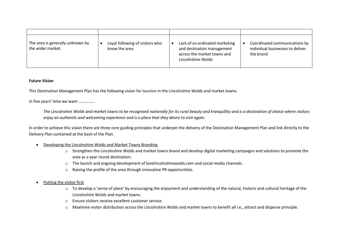| The area is generally unknown by<br>the wider market. | Loyal following of visitors who<br>know the area | Lack of co-ordinated marketing<br>and destination management<br>across the market towns and<br>Lincolnshire Wolds | Coordinated communications by<br>individual businesses to deliver<br>the brand |
|-------------------------------------------------------|--------------------------------------------------|-------------------------------------------------------------------------------------------------------------------|--------------------------------------------------------------------------------|

#### **Future Vision**

This Destination Management Plan has the following vision for tourism in the Lincolnshire Wolds and market towns.

In five years' time we want …………….

*The Lincolnshire Wolds and market towns to be recognised nationally for its rural beauty and tranquillity and is a destination of choice where visitors enjoy an authentic and welcoming experience and is a place that they desire to visit again.*

In order to achieve this vision there are three core guiding principles that underpin the delivery of the Destination Management Plan and link directly to the Delivery Plan contained at the back of the Plan.

- Developing the Lincolnshire Wolds and Market Towns Branding
	- o Strengthen the Lincolnshire Wolds and market towns brand and develop digital marketing campaigns and solutions to promote the area as a year round destination.
	- o The launch and ongoing development of lovelincolnshirewolds.com and social media channels.
	- o Raising the profile of the area through innovative PR opportunities.
- Putting the visitor first
	- o To develop a 'sense of place' by encouraging the enjoyment and understanding of the natural, historic and cultural heritage of the Lincolnshire Wolds and market towns.
	- o Ensure visitors receive excellent customer service.
	- o Maximise visitor distribution across the Lincolnshire Wolds and market towns to benefit all i.e., attract and disperse principle.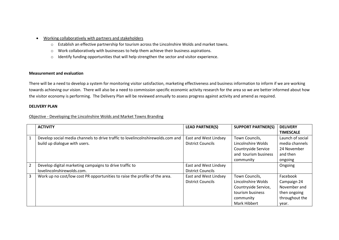- Working collaboratively with partners and stakeholders
	- o Establish an effective partnership for tourism across the Lincolnshire Wolds and market towns.
	- o Work collaboratively with businesses to help them achieve their business aspirations.
	- o Identify funding opportunities that will help strengthen the sector and visitor experience.

#### **Measurement and evaluation**

There will be a need to develop a system for monitoring visitor satisfaction, marketing effectiveness and business information to inform if we are working towards achieving our vision. There will also be a need to commission specific economic activity research for the area so we are better informed about how the visitor economy is performing. The Delivery Plan will be reviewed annually to assess progress against activity and amend as required.

#### **DELIVERY PLAN**

Objective - Developing the Lincolnshire Wolds and Market Towns Branding

|   | <b>ACTIVITY</b>                                                                 | <b>LEAD PARTNER(S)</b>   | <b>SUPPORT PARTNER(S)</b> | <b>DELIVERY</b>  |
|---|---------------------------------------------------------------------------------|--------------------------|---------------------------|------------------|
|   |                                                                                 |                          |                           | <b>TIMESCALE</b> |
| 1 | Develop social media channels to drive traffic to lovelincolnshirewolds.com and | East and West Lindsey    | Town Councils,            | Launch of social |
|   | build up dialogue with users.                                                   | <b>District Councils</b> | Lincolnshire Wolds        | media channels   |
|   |                                                                                 |                          | Countryside Service       | 24 November      |
|   |                                                                                 |                          | and tourism business      | and then         |
|   |                                                                                 |                          | community                 | ongoing          |
| 2 | Develop digital marketing campaigns to drive traffic to                         | East and West Lindsey    |                           | Ongoing          |
|   | lovelincolnshirewolds.com.                                                      | <b>District Councils</b> |                           |                  |
| 3 | Work up no cost/low cost PR opportunities to raise the profile of the area.     | East and West Lindsey    | Town Councils,            | Facebook         |
|   |                                                                                 | <b>District Councils</b> | Lincolnshire Wolds        | Campaign 24      |
|   |                                                                                 |                          | Countryside Service,      | November and     |
|   |                                                                                 |                          | tourism business          | then ongoing     |
|   |                                                                                 |                          | community                 | throughout the   |
|   |                                                                                 |                          | <b>Mark Hibbert</b>       | year.            |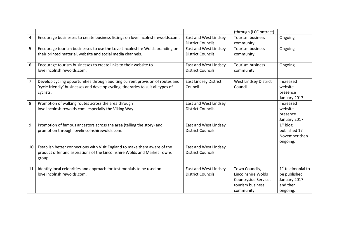|                |                                                                                    |                              | (through (LCC ontract)       |                                |
|----------------|------------------------------------------------------------------------------------|------------------------------|------------------------------|--------------------------------|
| $\overline{4}$ | Encourage businesses to create business listings on lovelincolnshirewolds.com.     | East and West Lindsey        | <b>Tourism business</b>      | Ongoing                        |
|                |                                                                                    | <b>District Councils</b>     | community                    |                                |
| 5              | Encourage tourism businesses to use the Love Lincolnshire Wolds branding on        | East and West Lindsey        | Tourism business             | Ongoing                        |
|                | their printed material, website and social media channels.                         | <b>District Councils</b>     | community                    |                                |
| 6              | Encourage tourism businesses to create links to their website to                   | East and West Lindsey        | <b>Tourism business</b>      | Ongoing                        |
|                | lovelincolnshirewolds.com.                                                         | <b>District Councils</b>     | community                    |                                |
| $\overline{7}$ | Develop cycling opportunities through auditing current provision of routes and     | <b>East Lindsey District</b> | <b>West Lindsey District</b> | Increased                      |
|                | 'cycle friendly' businesses and develop cycling itineraries to suit all types of   | Council                      | Council                      | website                        |
|                | cyclists.                                                                          |                              |                              | presence                       |
|                |                                                                                    |                              |                              | January 2017                   |
| 8              | Promotion of walking routes across the area through                                | East and West Lindsey        |                              | Increased                      |
|                | lovelincolnshirewolds.com, especially the Viking Way.                              | <b>District Councils</b>     |                              | website                        |
|                |                                                                                    |                              |                              | presence                       |
|                |                                                                                    |                              |                              | January 2017                   |
| 9              | Promotion of famous ancestors across the area (telling the story) and              | East and West Lindsey        |                              | $1st$ blog                     |
|                | promotion through lovelincolnshirewolds.com.                                       | <b>District Councils</b>     |                              | published 17                   |
|                |                                                                                    |                              |                              | November then                  |
|                |                                                                                    |                              |                              | ongoing.                       |
| 10             | Establish better connections with Visit England to make them aware of the          | East and West Lindsey        |                              |                                |
|                | product offer and aspirations of the Lincolnshire Wolds and Market Towns<br>group. | <b>District Councils</b>     |                              |                                |
|                |                                                                                    |                              |                              |                                |
| 11             | Identify local celebrities and approach for testimonials to be used on             | East and West Lindsey        | Town Councils,               | 1 <sup>st</sup> testimonial to |
|                | lovelincolnshirewolds.com.                                                         | <b>District Councils</b>     | Lincolnshire Wolds           | be published                   |
|                |                                                                                    |                              | Countryside Service,         | January 2017                   |
|                |                                                                                    |                              | tourism business             | and then                       |
|                |                                                                                    |                              | community                    | ongoing.                       |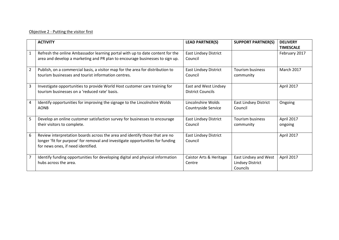### Objective 2 - Putting the visitor first

|                | <b>ACTIVITY</b>                                                                                                                                                                                     | <b>LEAD PARTNER(S)</b>                     | <b>SUPPORT PARTNER(S)</b>                                    | <b>DELIVERY</b><br><b>TIMESCALE</b> |
|----------------|-----------------------------------------------------------------------------------------------------------------------------------------------------------------------------------------------------|--------------------------------------------|--------------------------------------------------------------|-------------------------------------|
| $\mathbf{1}$   | Refresh the online Ambassador learning portal with up to date content for the<br>area and develop a marketing and PR plan to encourage businesses to sign up.                                       | <b>East Lindsey District</b><br>Council    |                                                              | February 2017                       |
| $\overline{2}$ | Publish, on a commercial basis, a visitor map for the area for distribution to<br>tourism businesses and tourist information centres.                                                               | <b>East Lindsey District</b><br>Council    | Tourism business<br>community                                | March 2017                          |
| 3              | Investigate opportunities to provide World Host customer care training for<br>tourism businesses on a 'reduced rate' basis.                                                                         | East and West Lindsey<br>District Councils |                                                              | April 2017                          |
| 4              | Identify opportunities for improving the signage to the Lincolnshire Wolds<br><b>AONB</b>                                                                                                           | Lincolnshire Wolds<br>Countryside Service  | <b>East Lindsey District</b><br>Council                      | Ongoing                             |
| 5              | Develop an online customer satisfaction survey for businesses to encourage<br>their visitors to complete.                                                                                           | <b>East Lindsey District</b><br>Council    | <b>Tourism business</b><br>community                         | April 2017<br>ongoing               |
| 6              | Review interpretation boards across the area and identify those that are no<br>longer 'fit for purpose' for removal and investigate opportunities for funding<br>for news ones, if need identified. | East Lindsey District<br>Council           |                                                              | April 2017                          |
| 7              | Identify funding opportunities for developing digital and physical information<br>hubs across the area.                                                                                             | Caistor Arts & Heritage<br>Centre          | East Lindsey and West<br><b>Lindsey District</b><br>Councils | April 2017                          |